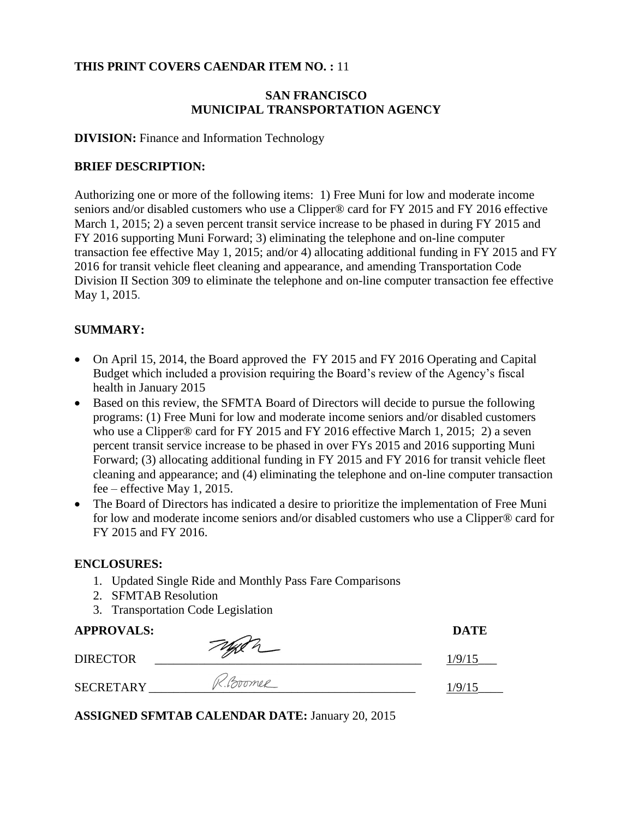#### **THIS PRINT COVERS CAENDAR ITEM NO. :** 11

#### **SAN FRANCISCO MUNICIPAL TRANSPORTATION AGENCY**

#### **DIVISION:** Finance and Information Technology

#### **BRIEF DESCRIPTION:**

Authorizing one or more of the following items: 1) Free Muni for low and moderate income seniors and/or disabled customers who use a Clipper® card for FY 2015 and FY 2016 effective March 1, 2015; 2) a seven percent transit service increase to be phased in during FY 2015 and FY 2016 supporting Muni Forward; 3) eliminating the telephone and on-line computer transaction fee effective May 1, 2015; and/or 4) allocating additional funding in FY 2015 and FY 2016 for transit vehicle fleet cleaning and appearance, and amending Transportation Code Division II Section 309 to eliminate the telephone and on-line computer transaction fee effective May 1, 2015.

#### **SUMMARY:**

- On April 15, 2014, the Board approved the FY 2015 and FY 2016 Operating and Capital Budget which included a provision requiring the Board's review of the Agency's fiscal health in January 2015
- Based on this review, the SFMTA Board of Directors will decide to pursue the following programs: (1) Free Muni for low and moderate income seniors and/or disabled customers who use a Clipper® card for FY 2015 and FY 2016 effective March 1, 2015; 2) a seven percent transit service increase to be phased in over FYs 2015 and 2016 supporting Muni Forward; (3) allocating additional funding in FY 2015 and FY 2016 for transit vehicle fleet cleaning and appearance; and (4) eliminating the telephone and on-line computer transaction fee – effective May 1, 2015.
- The Board of Directors has indicated a desire to prioritize the implementation of Free Muni for low and moderate income seniors and/or disabled customers who use a Clipper® card for FY 2015 and FY 2016.

#### **ENCLOSURES:**

- 1. Updated Single Ride and Monthly Pass Fare Comparisons
- 2. SFMTAB Resolution
- 3. Transportation Code Legislation

#### **APPROVALS: DATE**

| $\mathbf{M}$ is a set of $\mathbf{M}$ |          |     |
|---------------------------------------|----------|-----|
| <b>DIRECTOR</b>                       |          | /9/ |
| <b>SECRETARY</b>                      | (foromer |     |

**ASSIGNED SFMTAB CALENDAR DATE:** January 20, 2015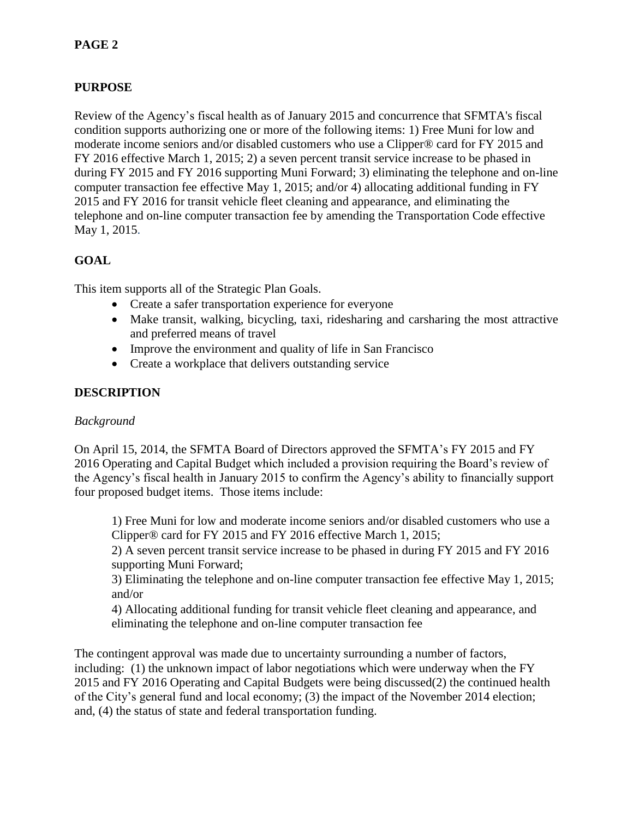# **PURPOSE**

Review of the Agency's fiscal health as of January 2015 and concurrence that SFMTA's fiscal condition supports authorizing one or more of the following items: 1) Free Muni for low and moderate income seniors and/or disabled customers who use a Clipper® card for FY 2015 and FY 2016 effective March 1, 2015; 2) a seven percent transit service increase to be phased in during FY 2015 and FY 2016 supporting Muni Forward; 3) eliminating the telephone and on-line computer transaction fee effective May 1, 2015; and/or 4) allocating additional funding in FY 2015 and FY 2016 for transit vehicle fleet cleaning and appearance, and eliminating the telephone and on-line computer transaction fee by amending the Transportation Code effective May 1, 2015.

# **GOAL**

This item supports all of the Strategic Plan Goals.

- Create a safer transportation experience for everyone
- Make transit, walking, bicycling, taxi, ridesharing and carsharing the most attractive and preferred means of travel
- Improve the environment and quality of life in San Francisco
- Create a workplace that delivers outstanding service

# **DESCRIPTION**

#### *Background*

On April 15, 2014, the SFMTA Board of Directors approved the SFMTA's FY 2015 and FY 2016 Operating and Capital Budget which included a provision requiring the Board's review of the Agency's fiscal health in January 2015 to confirm the Agency's ability to financially support four proposed budget items. Those items include:

1) Free Muni for low and moderate income seniors and/or disabled customers who use a Clipper® card for FY 2015 and FY 2016 effective March 1, 2015;

2) A seven percent transit service increase to be phased in during FY 2015 and FY 2016 supporting Muni Forward;

3) Eliminating the telephone and on-line computer transaction fee effective May 1, 2015; and/or

4) Allocating additional funding for transit vehicle fleet cleaning and appearance, and eliminating the telephone and on-line computer transaction fee

The contingent approval was made due to uncertainty surrounding a number of factors, including: (1) the unknown impact of labor negotiations which were underway when the FY 2015 and FY 2016 Operating and Capital Budgets were being discussed(2) the continued health of the City's general fund and local economy; (3) the impact of the November 2014 election; and, (4) the status of state and federal transportation funding.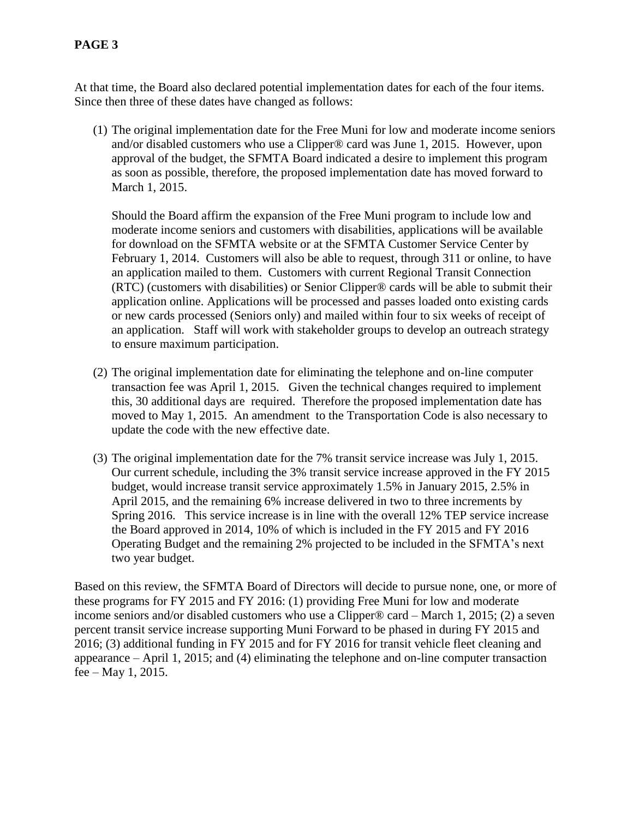## **PAGE 3**

At that time, the Board also declared potential implementation dates for each of the four items. Since then three of these dates have changed as follows:

(1) The original implementation date for the Free Muni for low and moderate income seniors and/or disabled customers who use a Clipper® card was June 1, 2015. However, upon approval of the budget, the SFMTA Board indicated a desire to implement this program as soon as possible, therefore, the proposed implementation date has moved forward to March 1, 2015.

Should the Board affirm the expansion of the Free Muni program to include low and moderate income seniors and customers with disabilities, applications will be available for download on the SFMTA website or at the SFMTA Customer Service Center by February 1, 2014. Customers will also be able to request, through 311 or online, to have an application mailed to them. Customers with current Regional Transit Connection (RTC) (customers with disabilities) or Senior Clipper® cards will be able to submit their application online. Applications will be processed and passes loaded onto existing cards or new cards processed (Seniors only) and mailed within four to six weeks of receipt of an application. Staff will work with stakeholder groups to develop an outreach strategy to ensure maximum participation.

- (2) The original implementation date for eliminating the telephone and on-line computer transaction fee was April 1, 2015. Given the technical changes required to implement this, 30 additional days are required. Therefore the proposed implementation date has moved to May 1, 2015. An amendment to the Transportation Code is also necessary to update the code with the new effective date.
- (3) The original implementation date for the 7% transit service increase was July 1, 2015. Our current schedule, including the 3% transit service increase approved in the FY 2015 budget, would increase transit service approximately 1.5% in January 2015, 2.5% in April 2015, and the remaining 6% increase delivered in two to three increments by Spring 2016. This service increase is in line with the overall 12% TEP service increase the Board approved in 2014, 10% of which is included in the FY 2015 and FY 2016 Operating Budget and the remaining 2% projected to be included in the SFMTA's next two year budget.

Based on this review, the SFMTA Board of Directors will decide to pursue none, one, or more of these programs for FY 2015 and FY 2016: (1) providing Free Muni for low and moderate income seniors and/or disabled customers who use a Clipper® card – March 1, 2015; (2) a seven percent transit service increase supporting Muni Forward to be phased in during FY 2015 and 2016; (3) additional funding in FY 2015 and for FY 2016 for transit vehicle fleet cleaning and appearance – April 1, 2015; and (4) eliminating the telephone and on-line computer transaction fee – May 1, 2015.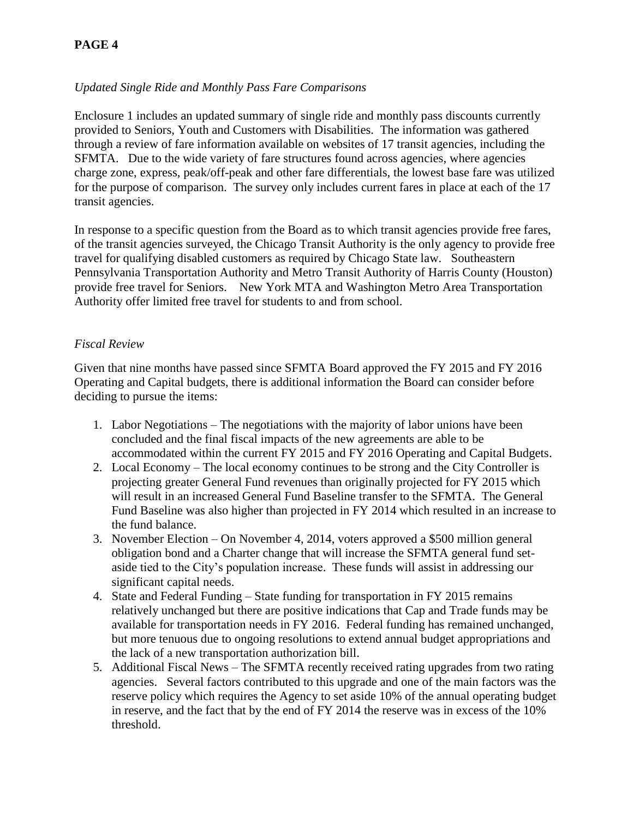# **PAGE 4**

### *Updated Single Ride and Monthly Pass Fare Comparisons*

Enclosure 1 includes an updated summary of single ride and monthly pass discounts currently provided to Seniors, Youth and Customers with Disabilities. The information was gathered through a review of fare information available on websites of 17 transit agencies, including the SFMTA. Due to the wide variety of fare structures found across agencies, where agencies charge zone, express, peak/off-peak and other fare differentials, the lowest base fare was utilized for the purpose of comparison. The survey only includes current fares in place at each of the 17 transit agencies.

In response to a specific question from the Board as to which transit agencies provide free fares, of the transit agencies surveyed, the Chicago Transit Authority is the only agency to provide free travel for qualifying disabled customers as required by Chicago State law. Southeastern Pennsylvania Transportation Authority and Metro Transit Authority of Harris County (Houston) provide free travel for Seniors. New York MTA and Washington Metro Area Transportation Authority offer limited free travel for students to and from school.

#### *Fiscal Review*

Given that nine months have passed since SFMTA Board approved the FY 2015 and FY 2016 Operating and Capital budgets, there is additional information the Board can consider before deciding to pursue the items:

- 1. Labor Negotiations The negotiations with the majority of labor unions have been concluded and the final fiscal impacts of the new agreements are able to be accommodated within the current FY 2015 and FY 2016 Operating and Capital Budgets.
- 2. Local Economy The local economy continues to be strong and the City Controller is projecting greater General Fund revenues than originally projected for FY 2015 which will result in an increased General Fund Baseline transfer to the SFMTA. The General Fund Baseline was also higher than projected in FY 2014 which resulted in an increase to the fund balance.
- 3. November Election On November 4, 2014, voters approved a \$500 million general obligation bond and a Charter change that will increase the SFMTA general fund setaside tied to the City's population increase. These funds will assist in addressing our significant capital needs.
- 4. State and Federal Funding State funding for transportation in FY 2015 remains relatively unchanged but there are positive indications that Cap and Trade funds may be available for transportation needs in FY 2016. Federal funding has remained unchanged, but more tenuous due to ongoing resolutions to extend annual budget appropriations and the lack of a new transportation authorization bill.
- 5. Additional Fiscal News The SFMTA recently received rating upgrades from two rating agencies. Several factors contributed to this upgrade and one of the main factors was the reserve policy which requires the Agency to set aside 10% of the annual operating budget in reserve, and the fact that by the end of FY 2014 the reserve was in excess of the 10% threshold.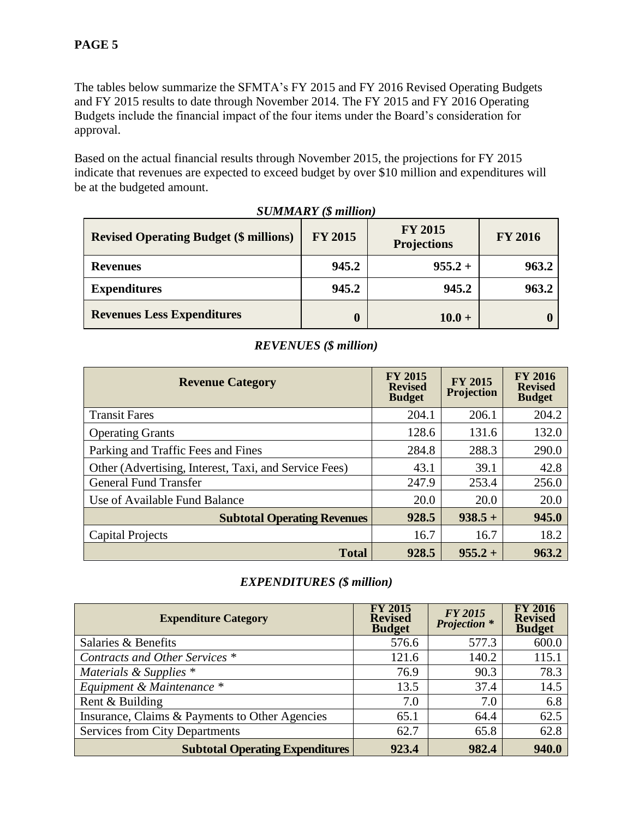The tables below summarize the SFMTA's FY 2015 and FY 2016 Revised Operating Budgets and FY 2015 results to date through November 2014. The FY 2015 and FY 2016 Operating Budgets include the financial impact of the four items under the Board's consideration for approval.

Based on the actual financial results through November 2015, the projections for FY 2015 indicate that revenues are expected to exceed budget by over \$10 million and expenditures will be at the budgeted amount.

| <b>Revised Operating Budget (\$ millions)</b> | <b>FY 2015</b> | <b>FY 2015</b><br><b>Projections</b> | <b>FY 2016</b> |
|-----------------------------------------------|----------------|--------------------------------------|----------------|
| <b>Revenues</b>                               | 945.2          | $955.2 +$                            | 963.2          |
| <b>Expenditures</b>                           | 945.2          | 945.2                                | 963.2          |
| <b>Revenues Less Expenditures</b>             |                | $10.0 +$                             |                |

*SUMMARY (\$ million)*

# *REVENUES (\$ million)*

| <b>Revenue Category</b>                               | <b>FY 2015</b><br><b>Revised</b><br><b>Budget</b> | <b>FY 2015</b><br>Projection | <b>FY 2016</b><br><b>Revised</b><br><b>Budget</b> |
|-------------------------------------------------------|---------------------------------------------------|------------------------------|---------------------------------------------------|
| <b>Transit Fares</b>                                  | 204.1                                             | 206.1                        | 204.2                                             |
| <b>Operating Grants</b>                               | 128.6                                             | 131.6                        | 132.0                                             |
| Parking and Traffic Fees and Fines                    | 284.8                                             | 288.3                        | 290.0                                             |
| Other (Advertising, Interest, Taxi, and Service Fees) | 43.1                                              | 39.1                         | 42.8                                              |
| <b>General Fund Transfer</b>                          | 247.9                                             | 253.4                        | 256.0                                             |
| Use of Available Fund Balance                         | 20.0                                              | 20.0                         | 20.0                                              |
| <b>Subtotal Operating Revenues</b>                    | 928.5                                             | $938.5 +$                    | 945.0                                             |
| <b>Capital Projects</b>                               | 16.7                                              | 16.7                         | 18.2                                              |
| <b>Total</b>                                          | 928.5                                             | $955.2 +$                    | 963.2                                             |

#### *EXPENDITURES (\$ million)*

| <b>Expenditure Category</b>                    | <b>FY 2015</b><br><b>Revised</b><br><b>Budget</b> | <b>FY 2015</b><br><b>Projection</b> * | FY 2016<br><b>Revised</b><br><b>Budget</b> |
|------------------------------------------------|---------------------------------------------------|---------------------------------------|--------------------------------------------|
| Salaries & Benefits                            | 576.6                                             | 577.3                                 | 600.0                                      |
| Contracts and Other Services *                 | 121.6                                             | 140.2                                 | 115.1                                      |
| Materials & Supplies *                         | 76.9                                              | 90.3                                  | 78.3                                       |
| Equipment & Maintenance *                      | 13.5                                              | 37.4                                  | 14.5                                       |
| Rent & Building                                | 7.0                                               | 7.0                                   | 6.8                                        |
| Insurance, Claims & Payments to Other Agencies | 65.1                                              | 64.4                                  | 62.5                                       |
| <b>Services from City Departments</b>          | 62.7                                              | 65.8                                  | 62.8                                       |
| <b>Subtotal Operating Expenditures</b>         | 923.4                                             | 982.4                                 | 940.0                                      |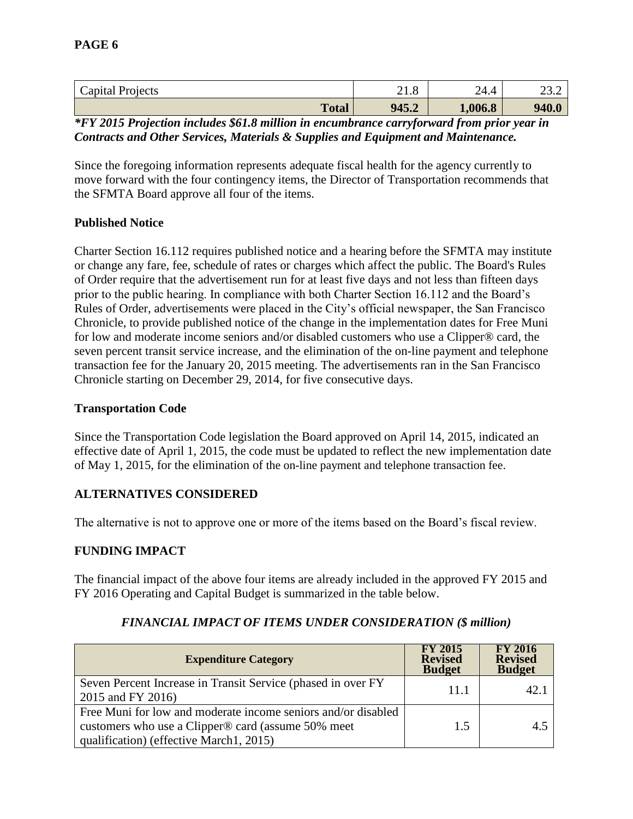| Capital Projects | 41.0  | 24.4<br>$\sqrt{1}$ | $\mathcal{L}$<br>ے . ب |
|------------------|-------|--------------------|------------------------|
| <b>Total</b>     | 945.2 | 1,006.8            | 940.0                  |

*\*FY 2015 Projection includes \$61.8 million in encumbrance carryforward from prior year in Contracts and Other Services, Materials & Supplies and Equipment and Maintenance.* 

Since the foregoing information represents adequate fiscal health for the agency currently to move forward with the four contingency items, the Director of Transportation recommends that the SFMTA Board approve all four of the items.

#### **Published Notice**

Charter Section 16.112 requires published notice and a hearing before the SFMTA may institute or change any fare, fee, schedule of rates or charges which affect the public. The Board's Rules of Order require that the advertisement run for at least five days and not less than fifteen days prior to the public hearing. In compliance with both Charter Section 16.112 and the Board's Rules of Order, advertisements were placed in the City's official newspaper, the San Francisco Chronicle, to provide published notice of the change in the implementation dates for Free Muni for low and moderate income seniors and/or disabled customers who use a Clipper® card, the seven percent transit service increase, and the elimination of the on-line payment and telephone transaction fee for the January 20, 2015 meeting. The advertisements ran in the San Francisco Chronicle starting on December 29, 2014, for five consecutive days.

#### **Transportation Code**

Since the Transportation Code legislation the Board approved on April 14, 2015, indicated an effective date of April 1, 2015, the code must be updated to reflect the new implementation date of May 1, 2015, for the elimination of the on-line payment and telephone transaction fee.

#### **ALTERNATIVES CONSIDERED**

The alternative is not to approve one or more of the items based on the Board's fiscal review.

#### **FUNDING IMPACT**

The financial impact of the above four items are already included in the approved FY 2015 and FY 2016 Operating and Capital Budget is summarized in the table below.

| <b>Expenditure Category</b>                                                                                                                                    | <b>FY 2015</b><br><b>Revised</b><br><b>Budget</b> | <b>FY 2016</b><br><b>Revised</b><br><b>Budget</b> |
|----------------------------------------------------------------------------------------------------------------------------------------------------------------|---------------------------------------------------|---------------------------------------------------|
| Seven Percent Increase in Transit Service (phased in over FY<br>2015 and FY 2016)                                                                              | 11.1                                              | 42.                                               |
| Free Muni for low and moderate income seniors and/or disabled<br>customers who use a Clipper® card (assume 50% meet<br>qualification) (effective March1, 2015) | 1.5                                               | 4.5                                               |

#### *FINANCIAL IMPACT OF ITEMS UNDER CONSIDERATION (\$ million)*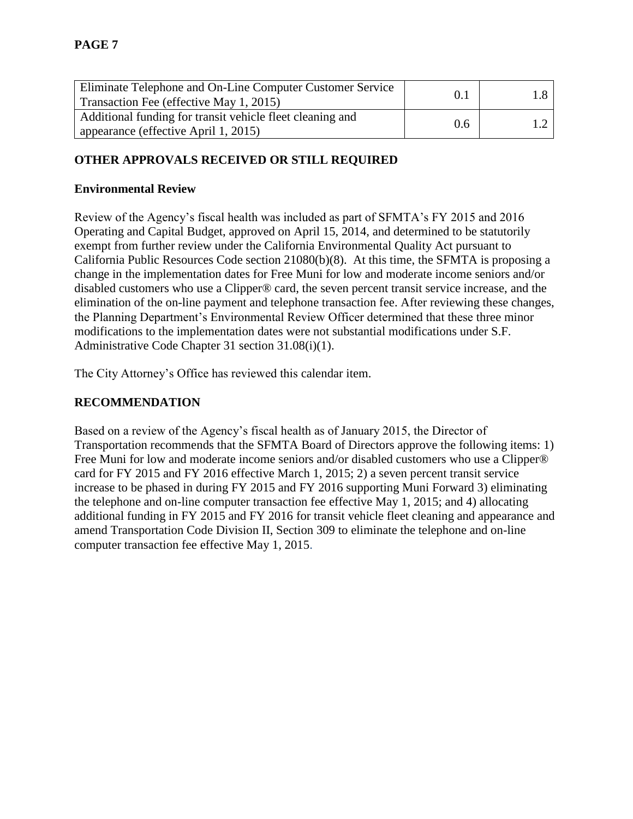| Eliminate Telephone and On-Line Computer Customer Service<br>Transaction Fee (effective May 1, 2015) | 0.1 |  |
|------------------------------------------------------------------------------------------------------|-----|--|
| Additional funding for transit vehicle fleet cleaning and<br>appearance (effective April 1, 2015)    | 0.6 |  |

# **OTHER APPROVALS RECEIVED OR STILL REQUIRED**

#### **Environmental Review**

Review of the Agency's fiscal health was included as part of SFMTA's FY 2015 and 2016 Operating and Capital Budget, approved on April 15, 2014, and determined to be statutorily exempt from further review under the California Environmental Quality Act pursuant to California Public Resources Code section 21080(b)(8). At this time, the SFMTA is proposing a change in the implementation dates for Free Muni for low and moderate income seniors and/or disabled customers who use a Clipper® card, the seven percent transit service increase, and the elimination of the on-line payment and telephone transaction fee. After reviewing these changes, the Planning Department's Environmental Review Officer determined that these three minor modifications to the implementation dates were not substantial modifications under S.F. Administrative Code Chapter 31 section 31.08(i)(1).

The City Attorney's Office has reviewed this calendar item.

#### **RECOMMENDATION**

Based on a review of the Agency's fiscal health as of January 2015, the Director of Transportation recommends that the SFMTA Board of Directors approve the following items: 1) Free Muni for low and moderate income seniors and/or disabled customers who use a Clipper® card for FY 2015 and FY 2016 effective March 1, 2015; 2) a seven percent transit service increase to be phased in during FY 2015 and FY 2016 supporting Muni Forward 3) eliminating the telephone and on-line computer transaction fee effective May 1, 2015; and 4) allocating additional funding in FY 2015 and FY 2016 for transit vehicle fleet cleaning and appearance and amend Transportation Code Division II, Section 309 to eliminate the telephone and on-line computer transaction fee effective May 1, 2015.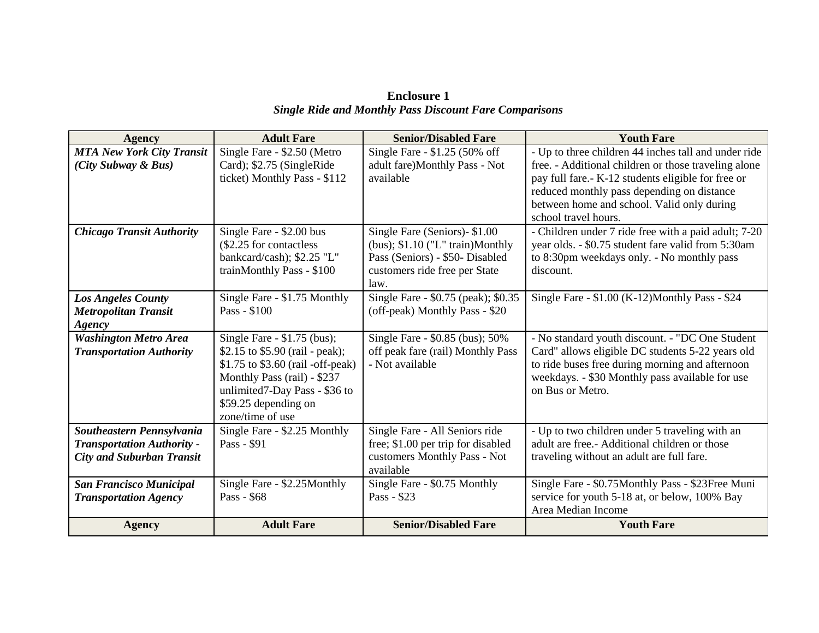| <b>Enclosure 1</b>                                            |  |
|---------------------------------------------------------------|--|
| <b>Single Ride and Monthly Pass Discount Fare Comparisons</b> |  |

| <b>Agency</b>                                                   | <b>Adult Fare</b>                                                                                                                                                                                                  | <b>Senior/Disabled Fare</b>                                                                                                                   | <b>Youth Fare</b>                                                                                                                                                                                                             |
|-----------------------------------------------------------------|--------------------------------------------------------------------------------------------------------------------------------------------------------------------------------------------------------------------|-----------------------------------------------------------------------------------------------------------------------------------------------|-------------------------------------------------------------------------------------------------------------------------------------------------------------------------------------------------------------------------------|
| <b>MTA New York City Transit</b>                                | Single Fare - \$2.50 (Metro                                                                                                                                                                                        | Single Fare - \$1.25 (50% off                                                                                                                 | - Up to three children 44 inches tall and under ride                                                                                                                                                                          |
| (City Subway & Bus)                                             | Card); \$2.75 (SingleRide<br>ticket) Monthly Pass - \$112                                                                                                                                                          | adult fare)Monthly Pass - Not<br>available                                                                                                    | free. - Additional children or those traveling alone<br>pay full fare. - K-12 students eligible for free or<br>reduced monthly pass depending on distance                                                                     |
|                                                                 |                                                                                                                                                                                                                    |                                                                                                                                               | between home and school. Valid only during<br>school travel hours.                                                                                                                                                            |
| <b>Chicago Transit Authority</b>                                | Single Fare - \$2.00 bus<br>(\$2.25 for contactless<br>bankcard/cash); \$2.25 "L"<br>trainMonthly Pass - \$100                                                                                                     | Single Fare (Seniors)-\$1.00<br>(bus); $$1.10$ ("L" train)Monthly<br>Pass (Seniors) - \$50- Disabled<br>customers ride free per State<br>law. | - Children under 7 ride free with a paid adult; 7-20<br>year olds. - \$0.75 student fare valid from 5:30am<br>to 8:30pm weekdays only. - No monthly pass<br>discount.                                                         |
| <b>Los Angeles County</b>                                       | Single Fare - \$1.75 Monthly                                                                                                                                                                                       | Single Fare - \$0.75 (peak); \$0.35                                                                                                           | Single Fare - \$1.00 (K-12)Monthly Pass - \$24                                                                                                                                                                                |
| <b>Metropolitan Transit</b>                                     | Pass - \$100                                                                                                                                                                                                       | (off-peak) Monthly Pass - \$20                                                                                                                |                                                                                                                                                                                                                               |
| Agency                                                          |                                                                                                                                                                                                                    |                                                                                                                                               |                                                                                                                                                                                                                               |
| <b>Washington Metro Area</b><br><b>Transportation Authority</b> | Single Fare $-$ \$1.75 (bus);<br>\$2.15 to $$5.90$ (rail - peak);<br>\$1.75 to \$3.60 (rail -off-peak)<br>Monthly Pass (rail) - \$237<br>unlimited7-Day Pass - \$36 to<br>\$59.25 depending on<br>zone/time of use | Single Fare - \$0.85 (bus); 50%<br>off peak fare (rail) Monthly Pass<br>- Not available                                                       | - No standard youth discount. - "DC One Student<br>Card" allows eligible DC students 5-22 years old<br>to ride buses free during morning and afternoon<br>weekdays. - \$30 Monthly pass available for use<br>on Bus or Metro. |
| Southeastern Pennsylvania                                       | Single Fare - \$2.25 Monthly                                                                                                                                                                                       | Single Fare - All Seniors ride                                                                                                                | - Up to two children under 5 traveling with an                                                                                                                                                                                |
| <b>Transportation Authority -</b>                               | Pass - \$91                                                                                                                                                                                                        | free; \$1.00 per trip for disabled                                                                                                            | adult are free.- Additional children or those                                                                                                                                                                                 |
| <b>City and Suburban Transit</b>                                |                                                                                                                                                                                                                    | customers Monthly Pass - Not<br>available                                                                                                     | traveling without an adult are full fare.                                                                                                                                                                                     |
| <b>San Francisco Municipal</b>                                  | Single Fare - \$2.25Monthly                                                                                                                                                                                        | Single Fare - \$0.75 Monthly                                                                                                                  | Single Fare - \$0.75Monthly Pass - \$23Free Muni                                                                                                                                                                              |
| <b>Transportation Agency</b>                                    | Pass - \$68                                                                                                                                                                                                        | Pass - \$23                                                                                                                                   | service for youth 5-18 at, or below, 100% Bay                                                                                                                                                                                 |
|                                                                 |                                                                                                                                                                                                                    |                                                                                                                                               | Area Median Income                                                                                                                                                                                                            |
| <b>Agency</b>                                                   | <b>Adult Fare</b>                                                                                                                                                                                                  | <b>Senior/Disabled Fare</b>                                                                                                                   | <b>Youth Fare</b>                                                                                                                                                                                                             |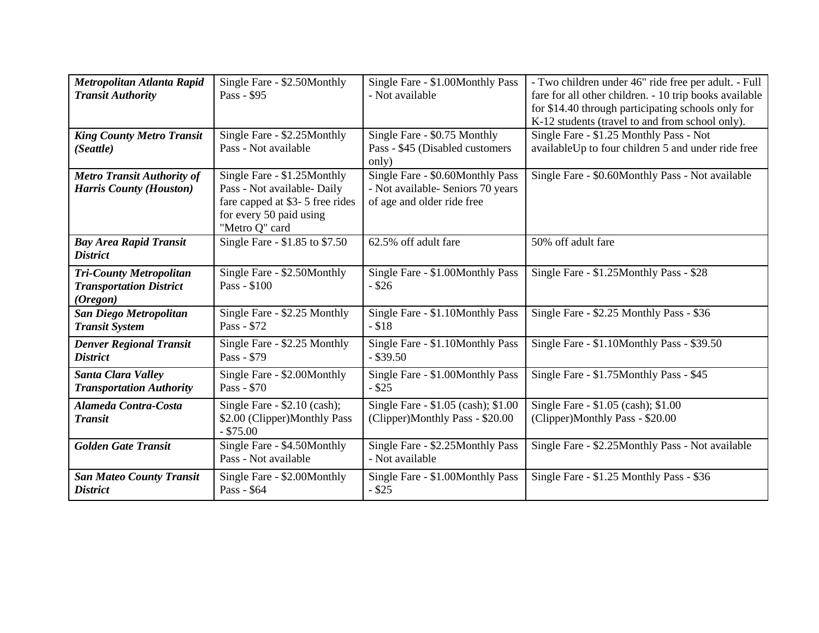| Metropolitan Atlanta Rapid<br><b>Transit Authority</b>                       | Single Fare - \$2.50Monthly<br>Pass - \$95                                                                                                 | Single Fare - \$1.00Monthly Pass<br>- Not available                                                 | - Two children under 46" ride free per adult. - Full<br>fare for all other children. - 10 trip books available<br>for \$14.40 through participating schools only for<br>K-12 students (travel to and from school only). |
|------------------------------------------------------------------------------|--------------------------------------------------------------------------------------------------------------------------------------------|-----------------------------------------------------------------------------------------------------|-------------------------------------------------------------------------------------------------------------------------------------------------------------------------------------------------------------------------|
| <b>King County Metro Transit</b><br>(Seattle)                                | Single Fare - \$2.25Monthly<br>Pass - Not available                                                                                        | Single Fare - \$0.75 Monthly<br>Pass - \$45 (Disabled customers<br>only)                            | Single Fare - \$1.25 Monthly Pass - Not<br>availableUp to four children 5 and under ride free                                                                                                                           |
| <b>Metro Transit Authority of</b><br><b>Harris County (Houston)</b>          | Single Fare - \$1.25Monthly<br>Pass - Not available- Daily<br>fare capped at \$3-5 free rides<br>for every 50 paid using<br>"Metro Q" card | Single Fare - \$0.60Monthly Pass<br>- Not available- Seniors 70 years<br>of age and older ride free | Single Fare - \$0.60Monthly Pass - Not available                                                                                                                                                                        |
| <b>Bay Area Rapid Transit</b><br><b>District</b>                             | Single Fare - \$1.85 to \$7.50                                                                                                             | 62.5% off adult fare                                                                                | 50% off adult fare                                                                                                                                                                                                      |
| <b>Tri-County Metropolitan</b><br><b>Transportation District</b><br>(Oregon) | Single Fare - \$2.50Monthly<br>Pass - \$100                                                                                                | Single Fare - \$1.00Monthly Pass<br>$-$ \$26                                                        | Single Fare - \$1.25Monthly Pass - \$28                                                                                                                                                                                 |
| <b>San Diego Metropolitan</b><br><b>Transit System</b>                       | Single Fare - \$2.25 Monthly<br>Pass - \$72                                                                                                | Single Fare - \$1.10Monthly Pass<br>$- $18$                                                         | Single Fare - \$2.25 Monthly Pass - \$36                                                                                                                                                                                |
| <b>Denver Regional Transit</b><br><b>District</b>                            | Single Fare - \$2.25 Monthly<br>Pass - \$79                                                                                                | Single Fare - \$1.10Monthly Pass<br>$-$ \$39.50                                                     | Single Fare - \$1.10Monthly Pass - \$39.50                                                                                                                                                                              |
| <b>Santa Clara Valley</b><br><b>Transportation Authority</b>                 | Single Fare - \$2.00Monthly<br>Pass - \$70                                                                                                 | Single Fare - \$1.00Monthly Pass<br>$-$ \$25                                                        | Single Fare - \$1.75Monthly Pass - \$45                                                                                                                                                                                 |
| Alameda Contra-Costa<br><b>Transit</b>                                       | Single Fare $-$ \$2.10 (cash);<br>\$2.00 (Clipper)Monthly Pass<br>$-$ \$75.00                                                              | Single Fare - \$1.05 (cash); \$1.00<br>(Clipper)Monthly Pass - \$20.00                              | Single Fare - \$1.05 (cash); \$1.00<br>(Clipper)Monthly Pass - \$20.00                                                                                                                                                  |
| <b>Golden Gate Transit</b>                                                   | Single Fare - \$4.50Monthly<br>Pass - Not available                                                                                        | Single Fare - \$2.25Monthly Pass<br>- Not available                                                 | Single Fare - \$2.25Monthly Pass - Not available                                                                                                                                                                        |
| <b>San Mateo County Transit</b><br><b>District</b>                           | Single Fare - \$2.00Monthly<br>Pass - \$64                                                                                                 | Single Fare - \$1.00Monthly Pass<br>$-$ \$25                                                        | Single Fare - \$1.25 Monthly Pass - \$36                                                                                                                                                                                |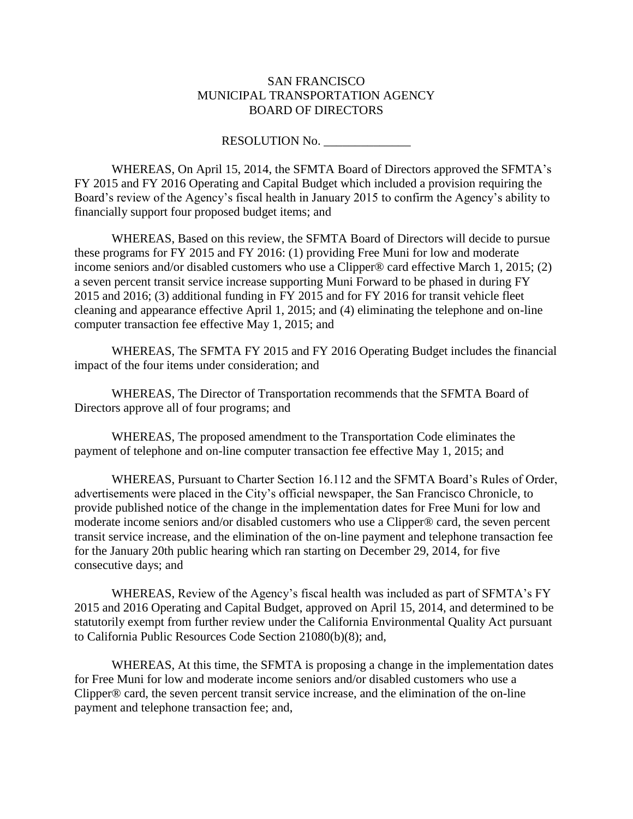#### SAN FRANCISCO MUNICIPAL TRANSPORTATION AGENCY BOARD OF DIRECTORS

#### RESOLUTION No. \_\_\_\_\_\_\_\_\_\_\_\_\_\_

WHEREAS, On April 15, 2014, the SFMTA Board of Directors approved the SFMTA's FY 2015 and FY 2016 Operating and Capital Budget which included a provision requiring the Board's review of the Agency's fiscal health in January 2015 to confirm the Agency's ability to financially support four proposed budget items; and

WHEREAS, Based on this review, the SFMTA Board of Directors will decide to pursue these programs for FY 2015 and FY 2016: (1) providing Free Muni for low and moderate income seniors and/or disabled customers who use a Clipper® card effective March 1, 2015; (2) a seven percent transit service increase supporting Muni Forward to be phased in during FY 2015 and 2016; (3) additional funding in FY 2015 and for FY 2016 for transit vehicle fleet cleaning and appearance effective April 1, 2015; and (4) eliminating the telephone and on-line computer transaction fee effective May 1, 2015; and

WHEREAS, The SFMTA FY 2015 and FY 2016 Operating Budget includes the financial impact of the four items under consideration; and

WHEREAS, The Director of Transportation recommends that the SFMTA Board of Directors approve all of four programs; and

WHEREAS, The proposed amendment to the Transportation Code eliminates the payment of telephone and on-line computer transaction fee effective May 1, 2015; and

WHEREAS, Pursuant to Charter Section 16.112 and the SFMTA Board's Rules of Order, advertisements were placed in the City's official newspaper, the San Francisco Chronicle, to provide published notice of the change in the implementation dates for Free Muni for low and moderate income seniors and/or disabled customers who use a Clipper® card, the seven percent transit service increase, and the elimination of the on-line payment and telephone transaction fee for the January 20th public hearing which ran starting on December 29, 2014, for five consecutive days; and

WHEREAS, Review of the Agency's fiscal health was included as part of SFMTA's FY 2015 and 2016 Operating and Capital Budget, approved on April 15, 2014, and determined to be statutorily exempt from further review under the California Environmental Quality Act pursuant to California Public Resources Code Section 21080(b)(8); and,

WHEREAS, At this time, the SFMTA is proposing a change in the implementation dates for Free Muni for low and moderate income seniors and/or disabled customers who use a Clipper® card, the seven percent transit service increase, and the elimination of the on-line payment and telephone transaction fee; and,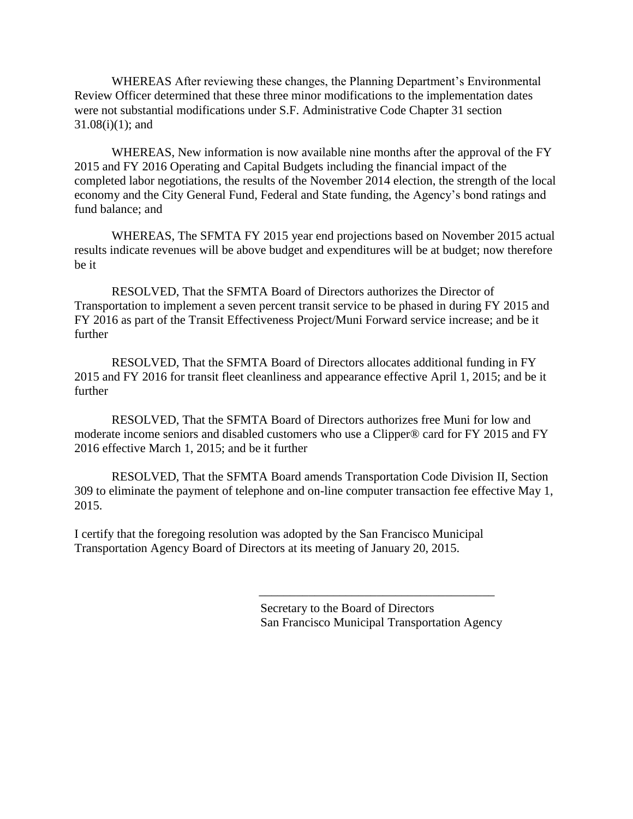WHEREAS After reviewing these changes, the Planning Department's Environmental Review Officer determined that these three minor modifications to the implementation dates were not substantial modifications under S.F. Administrative Code Chapter 31 section 31.08(i)(1); and

WHEREAS, New information is now available nine months after the approval of the FY 2015 and FY 2016 Operating and Capital Budgets including the financial impact of the completed labor negotiations, the results of the November 2014 election, the strength of the local economy and the City General Fund, Federal and State funding, the Agency's bond ratings and fund balance; and

WHEREAS, The SFMTA FY 2015 year end projections based on November 2015 actual results indicate revenues will be above budget and expenditures will be at budget; now therefore be it

RESOLVED, That the SFMTA Board of Directors authorizes the Director of Transportation to implement a seven percent transit service to be phased in during FY 2015 and FY 2016 as part of the Transit Effectiveness Project/Muni Forward service increase; and be it further

RESOLVED, That the SFMTA Board of Directors allocates additional funding in FY 2015 and FY 2016 for transit fleet cleanliness and appearance effective April 1, 2015; and be it further

RESOLVED, That the SFMTA Board of Directors authorizes free Muni for low and moderate income seniors and disabled customers who use a Clipper® card for FY 2015 and FY 2016 effective March 1, 2015; and be it further

RESOLVED, That the SFMTA Board amends Transportation Code Division II, Section 309 to eliminate the payment of telephone and on-line computer transaction fee effective May 1, 2015.

I certify that the foregoing resolution was adopted by the San Francisco Municipal Transportation Agency Board of Directors at its meeting of January 20, 2015.

> Secretary to the Board of Directors San Francisco Municipal Transportation Agency

\_\_\_\_\_\_\_\_\_\_\_\_\_\_\_\_\_\_\_\_\_\_\_\_\_\_\_\_\_\_\_\_\_\_\_\_\_\_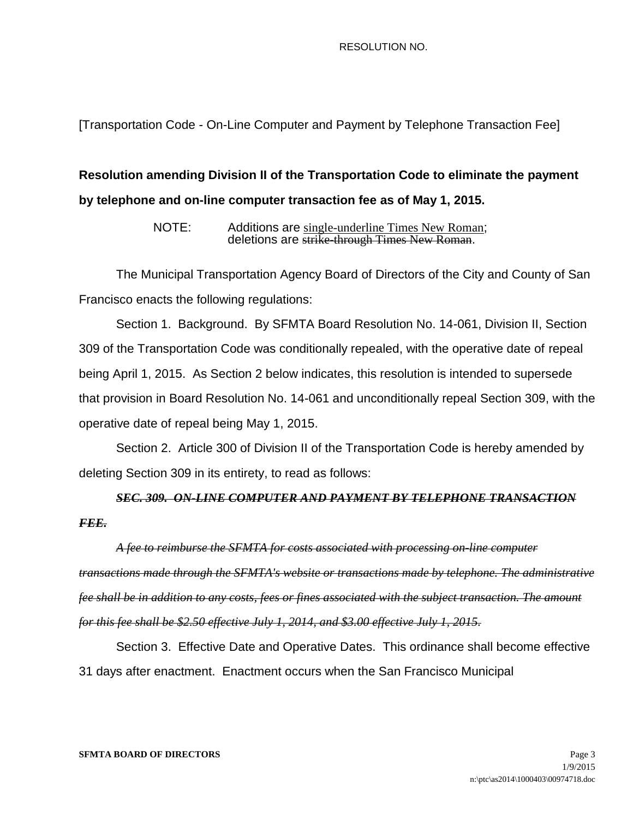#### RESOLUTION NO.

[Transportation Code - On-Line Computer and Payment by Telephone Transaction Fee]

# **Resolution amending Division II of the Transportation Code to eliminate the payment by telephone and on-line computer transaction fee as of May 1, 2015.**

NOTE: Additions are single-underline Times New Roman; deletions are strike-through Times New Roman.

The Municipal Transportation Agency Board of Directors of the City and County of San Francisco enacts the following regulations:

Section 1. Background. By SFMTA Board Resolution No. 14-061, Division II, Section 309 of the Transportation Code was conditionally repealed, with the operative date of repeal being April 1, 2015. As Section 2 below indicates, this resolution is intended to supersede that provision in Board Resolution No. 14-061 and unconditionally repeal Section 309, with the operative date of repeal being May 1, 2015.

Section 2. Article 300 of Division II of the Transportation Code is hereby amended by deleting Section 309 in its entirety, to read as follows:

# *SEC. 309. ON-LINE COMPUTER AND PAYMENT BY TELEPHONE TRANSACTION FEE.*

*A fee to reimburse the SFMTA for costs associated with processing on-line computer transactions made through the SFMTA's website or transactions made by telephone. The administrative fee shall be in addition to any costs, fees or fines associated with the subject transaction. The amount for this fee shall be \$2.50 effective July 1, 2014, and \$3.00 effective July 1, 2015.*

Section 3. Effective Date and Operative Dates. This ordinance shall become effective 31 days after enactment. Enactment occurs when the San Francisco Municipal